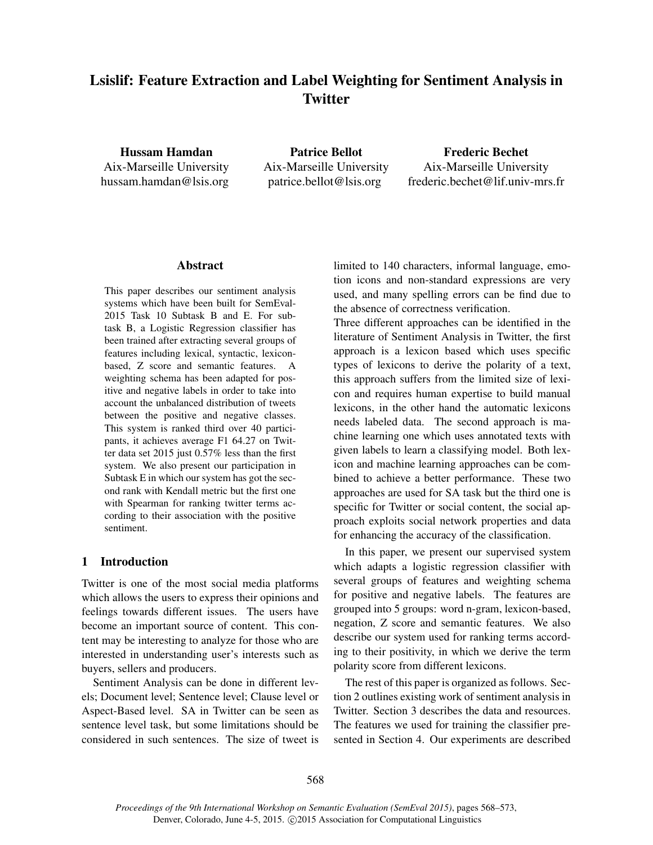# Lsislif: Feature Extraction and Label Weighting for Sentiment Analysis in **Twitter**

Hussam Hamdan Aix-Marseille University hussam.hamdan@lsis.org

Patrice Bellot Aix-Marseille University patrice.bellot@lsis.org

Frederic Bechet Aix-Marseille University frederic.bechet@lif.univ-mrs.fr

### Abstract

This paper describes our sentiment analysis systems which have been built for SemEval-2015 Task 10 Subtask B and E. For subtask B, a Logistic Regression classifier has been trained after extracting several groups of features including lexical, syntactic, lexiconbased, Z score and semantic features. A weighting schema has been adapted for positive and negative labels in order to take into account the unbalanced distribution of tweets between the positive and negative classes. This system is ranked third over 40 participants, it achieves average F1 64.27 on Twitter data set 2015 just 0.57% less than the first system. We also present our participation in Subtask E in which our system has got the second rank with Kendall metric but the first one with Spearman for ranking twitter terms according to their association with the positive sentiment.

### 1 Introduction

Twitter is one of the most social media platforms which allows the users to express their opinions and feelings towards different issues. The users have become an important source of content. This content may be interesting to analyze for those who are interested in understanding user's interests such as buyers, sellers and producers.

Sentiment Analysis can be done in different levels; Document level; Sentence level; Clause level or Aspect-Based level. SA in Twitter can be seen as sentence level task, but some limitations should be considered in such sentences. The size of tweet is limited to 140 characters, informal language, emotion icons and non-standard expressions are very used, and many spelling errors can be find due to the absence of correctness verification.

Three different approaches can be identified in the literature of Sentiment Analysis in Twitter, the first approach is a lexicon based which uses specific types of lexicons to derive the polarity of a text, this approach suffers from the limited size of lexicon and requires human expertise to build manual lexicons, in the other hand the automatic lexicons needs labeled data. The second approach is machine learning one which uses annotated texts with given labels to learn a classifying model. Both lexicon and machine learning approaches can be combined to achieve a better performance. These two approaches are used for SA task but the third one is specific for Twitter or social content, the social approach exploits social network properties and data for enhancing the accuracy of the classification.

In this paper, we present our supervised system which adapts a logistic regression classifier with several groups of features and weighting schema for positive and negative labels. The features are grouped into 5 groups: word n-gram, lexicon-based, negation, Z score and semantic features. We also describe our system used for ranking terms according to their positivity, in which we derive the term polarity score from different lexicons.

The rest of this paper is organized as follows. Section 2 outlines existing work of sentiment analysis in Twitter. Section 3 describes the data and resources. The features we used for training the classifier presented in Section 4. Our experiments are described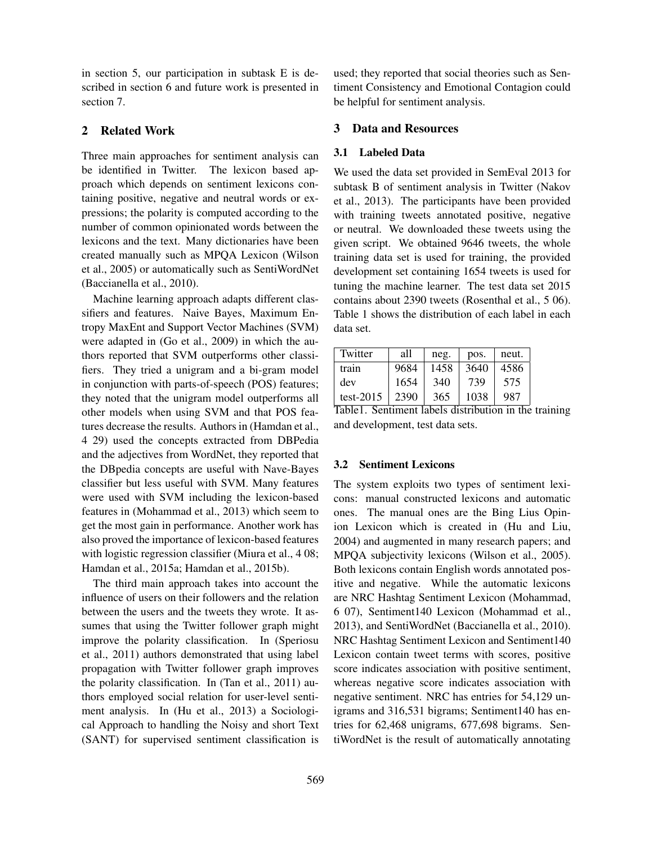in section 5, our participation in subtask E is described in section 6 and future work is presented in section 7.

# 2 Related Work

Three main approaches for sentiment analysis can be identified in Twitter. The lexicon based approach which depends on sentiment lexicons containing positive, negative and neutral words or expressions; the polarity is computed according to the number of common opinionated words between the lexicons and the text. Many dictionaries have been created manually such as MPQA Lexicon (Wilson et al., 2005) or automatically such as SentiWordNet (Baccianella et al., 2010).

Machine learning approach adapts different classifiers and features. Naive Bayes, Maximum Entropy MaxEnt and Support Vector Machines (SVM) were adapted in (Go et al., 2009) in which the authors reported that SVM outperforms other classifiers. They tried a unigram and a bi-gram model in conjunction with parts-of-speech (POS) features; they noted that the unigram model outperforms all other models when using SVM and that POS features decrease the results. Authors in (Hamdan et al., 4 29) used the concepts extracted from DBPedia and the adjectives from WordNet, they reported that the DBpedia concepts are useful with Nave-Bayes classifier but less useful with SVM. Many features were used with SVM including the lexicon-based features in (Mohammad et al., 2013) which seem to get the most gain in performance. Another work has also proved the importance of lexicon-based features with logistic regression classifier (Miura et al., 4 08; Hamdan et al., 2015a; Hamdan et al., 2015b).

The third main approach takes into account the influence of users on their followers and the relation between the users and the tweets they wrote. It assumes that using the Twitter follower graph might improve the polarity classification. In (Speriosu et al., 2011) authors demonstrated that using label propagation with Twitter follower graph improves the polarity classification. In (Tan et al., 2011) authors employed social relation for user-level sentiment analysis. In (Hu et al., 2013) a Sociological Approach to handling the Noisy and short Text (SANT) for supervised sentiment classification is

used; they reported that social theories such as Sentiment Consistency and Emotional Contagion could be helpful for sentiment analysis.

# 3 Data and Resources

#### 3.1 Labeled Data

We used the data set provided in SemEval 2013 for subtask B of sentiment analysis in Twitter (Nakov et al., 2013). The participants have been provided with training tweets annotated positive, negative or neutral. We downloaded these tweets using the given script. We obtained 9646 tweets, the whole training data set is used for training, the provided development set containing 1654 tweets is used for tuning the machine learner. The test data set 2015 contains about 2390 tweets (Rosenthal et al., 5 06). Table 1 shows the distribution of each label in each data set.

| Twitter      | all  | neg. | pos. | neut. |
|--------------|------|------|------|-------|
| train        | 9684 | 1458 | 3640 | 4586  |
| dev          | 1654 | 340  | 739  | 575   |
| test- $2015$ | 2390 | 365  | 1038 | 987   |

Table1. Sentiment labels distribution in the training and development, test data sets.

#### 3.2 Sentiment Lexicons

The system exploits two types of sentiment lexicons: manual constructed lexicons and automatic ones. The manual ones are the Bing Lius Opinion Lexicon which is created in (Hu and Liu, 2004) and augmented in many research papers; and MPQA subjectivity lexicons (Wilson et al., 2005). Both lexicons contain English words annotated positive and negative. While the automatic lexicons are NRC Hashtag Sentiment Lexicon (Mohammad, 6 07), Sentiment140 Lexicon (Mohammad et al., 2013), and SentiWordNet (Baccianella et al., 2010). NRC Hashtag Sentiment Lexicon and Sentiment140 Lexicon contain tweet terms with scores, positive score indicates association with positive sentiment, whereas negative score indicates association with negative sentiment. NRC has entries for 54,129 unigrams and 316,531 bigrams; Sentiment140 has entries for 62,468 unigrams, 677,698 bigrams. SentiWordNet is the result of automatically annotating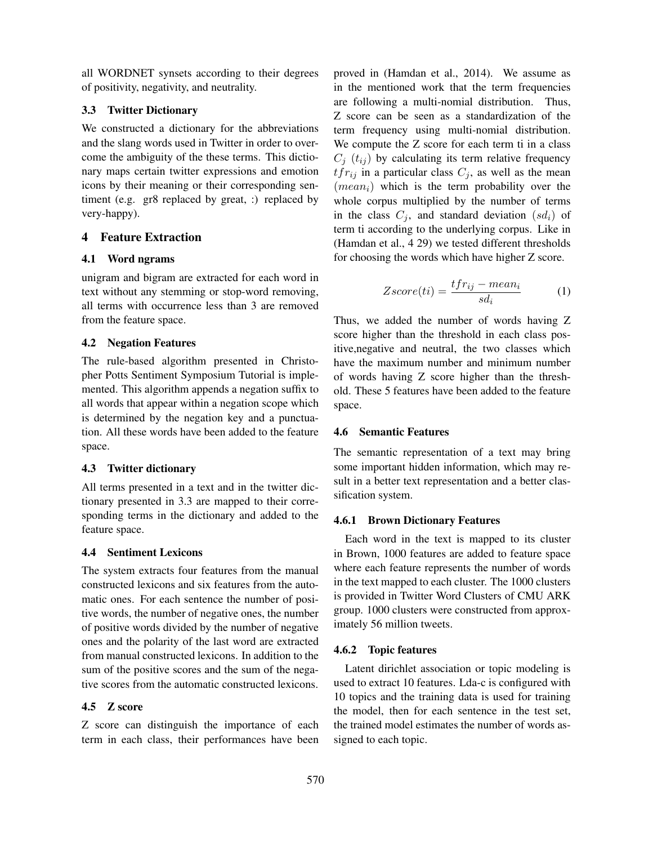all WORDNET synsets according to their degrees of positivity, negativity, and neutrality.

# 3.3 Twitter Dictionary

We constructed a dictionary for the abbreviations and the slang words used in Twitter in order to overcome the ambiguity of the these terms. This dictionary maps certain twitter expressions and emotion icons by their meaning or their corresponding sentiment (e.g. gr8 replaced by great, :) replaced by very-happy).

# 4 Feature Extraction

# 4.1 Word ngrams

unigram and bigram are extracted for each word in text without any stemming or stop-word removing, all terms with occurrence less than 3 are removed from the feature space.

# 4.2 Negation Features

The rule-based algorithm presented in Christopher Potts Sentiment Symposium Tutorial is implemented. This algorithm appends a negation suffix to all words that appear within a negation scope which is determined by the negation key and a punctuation. All these words have been added to the feature space.

# 4.3 Twitter dictionary

All terms presented in a text and in the twitter dictionary presented in 3.3 are mapped to their corresponding terms in the dictionary and added to the feature space.

# 4.4 Sentiment Lexicons

The system extracts four features from the manual constructed lexicons and six features from the automatic ones. For each sentence the number of positive words, the number of negative ones, the number of positive words divided by the number of negative ones and the polarity of the last word are extracted from manual constructed lexicons. In addition to the sum of the positive scores and the sum of the negative scores from the automatic constructed lexicons.

# 4.5 Z score

Z score can distinguish the importance of each term in each class, their performances have been proved in (Hamdan et al., 2014). We assume as in the mentioned work that the term frequencies are following a multi-nomial distribution. Thus, Z score can be seen as a standardization of the term frequency using multi-nomial distribution. We compute the Z score for each term ti in a class  $C_i$  ( $t_{ij}$ ) by calculating its term relative frequency  $tfr_{ij}$  in a particular class  $C_j$ , as well as the mean  $(mean_i)$  which is the term probability over the whole corpus multiplied by the number of terms in the class  $C_i$ , and standard deviation  $(s_d)$  of term ti according to the underlying corpus. Like in (Hamdan et al., 4 29) we tested different thresholds for choosing the words which have higher Z score.

$$
Zscore(ti) = \frac{tfr_{ij} - mean_i}{sd_i} \tag{1}
$$

Thus, we added the number of words having Z score higher than the threshold in each class positive,negative and neutral, the two classes which have the maximum number and minimum number of words having Z score higher than the threshold. These 5 features have been added to the feature space.

### 4.6 Semantic Features

The semantic representation of a text may bring some important hidden information, which may result in a better text representation and a better classification system.

### 4.6.1 Brown Dictionary Features

Each word in the text is mapped to its cluster in Brown, 1000 features are added to feature space where each feature represents the number of words in the text mapped to each cluster. The 1000 clusters is provided in Twitter Word Clusters of CMU ARK group. 1000 clusters were constructed from approximately 56 million tweets.

### 4.6.2 Topic features

Latent dirichlet association or topic modeling is used to extract 10 features. Lda-c is configured with 10 topics and the training data is used for training the model, then for each sentence in the test set, the trained model estimates the number of words assigned to each topic.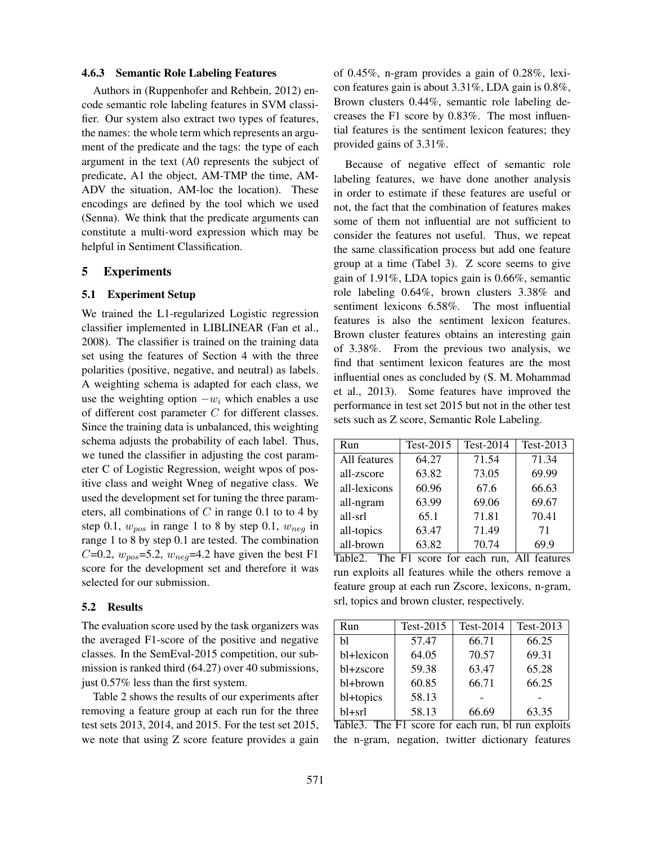#### 4.6.3 Semantic Role Labeling Features

Authors in (Ruppenhofer and Rehbein, 2012) encode semantic role labeling features in SVM classifier. Our system also extract two types of features, the names: the whole term which represents an argument of the predicate and the tags: the type of each argument in the text (A0 represents the subject of predicate, A1 the object, AM-TMP the time, AM-ADV the situation, AM-loc the location). These encodings are defined by the tool which we used (Senna). We think that the predicate arguments can constitute a multi-word expression which may be helpful in Sentiment Classification.

#### 5 Experiments

#### 5.1 Experiment Setup

We trained the L1-regularized Logistic regression classifier implemented in LIBLINEAR (Fan et al., 2008). The classifier is trained on the training data set using the features of Section 4 with the three polarities (positive, negative, and neutral) as labels. A weighting schema is adapted for each class, we use the weighting option  $-w_i$  which enables a use of different cost parameter C for different classes. Since the training data is unbalanced, this weighting schema adjusts the probability of each label. Thus, we tuned the classifier in adjusting the cost parameter C of Logistic Regression, weight wpos of positive class and weight Wneg of negative class. We used the development set for tuning the three parameters, all combinations of  $C$  in range 0.1 to to 4 by step 0.1,  $w_{pos}$  in range 1 to 8 by step 0.1,  $w_{neg}$  in range 1 to 8 by step 0.1 are tested. The combination C=0.2,  $w_{pos}$ =5.2,  $w_{neg}$ =4.2 have given the best F1 score for the development set and therefore it was selected for our submission.

#### 5.2 Results

The evaluation score used by the task organizers was the averaged F1-score of the positive and negative classes. In the SemEval-2015 competition, our submission is ranked third (64.27) over 40 submissions, just 0.57% less than the first system.

Table 2 shows the results of our experiments after removing a feature group at each run for the three test sets 2013, 2014, and 2015. For the test set 2015, we note that using Z score feature provides a gain of 0.45%, n-gram provides a gain of 0.28%, lexicon features gain is about 3.31%, LDA gain is 0.8%, Brown clusters 0.44%, semantic role labeling decreases the F1 score by 0.83%. The most influential features is the sentiment lexicon features; they provided gains of 3.31%.

Because of negative effect of semantic role labeling features, we have done another analysis in order to estimate if these features are useful or not, the fact that the combination of features makes some of them not influential are not sufficient to consider the features not useful. Thus, we repeat the same classification process but add one feature group at a time (Tabel 3). Z score seems to give gain of 1.91%, LDA topics gain is 0.66%, semantic role labeling 0.64%, brown clusters 3.38% and sentiment lexicons 6.58%. The most influential features is also the sentiment lexicon features. Brown cluster features obtains an interesting gain of 3.38%. From the previous two analysis, we find that sentiment lexicon features are the most influential ones as concluded by (S. M. Mohammad et al., 2013). Some features have improved the performance in test set 2015 but not in the other test sets such as Z score, Semantic Role Labeling.

| Run          | Test-2015 | Test-2014 | Test-2013 |
|--------------|-----------|-----------|-----------|
| All features | 64.27     | 71.54     | 71.34     |
| all-zscore   | 63.82     | 73.05     | 69.99     |
| all-lexicons | 60.96     | 67.6      | 66.63     |
| all-ngram    | 63.99     | 69.06     | 69.67     |
| all-srl      | 65.1      | 71.81     | 70.41     |
| all-topics   | 63.47     | 71.49     | 71        |
| all-brown    | 63.82     | 70.74     | 69.9      |

Table2. The F1 score for each run, All features run exploits all features while the others remove a feature group at each run Zscore, lexicons, n-gram, srl, topics and brown cluster, respectively.

| Run        | Test-2015 | $Test-2014$ | Test-2013 |
|------------|-----------|-------------|-----------|
| Ыl         | 57.47     | 66.71       | 66.25     |
| bl+lexicon | 64.05     | 70.57       | 69.31     |
| bl+zscore  | 59.38     | 63.47       | 65.28     |
| bl+brown   | 60.85     | 66.71       | 66.25     |
| bl+topics  | 58.13     |             |           |
| bl+srl     | 58.13     | 66.69       | 63.35     |

Table3. The F1 score for each run, bl run exploits the n-gram, negation, twitter dictionary features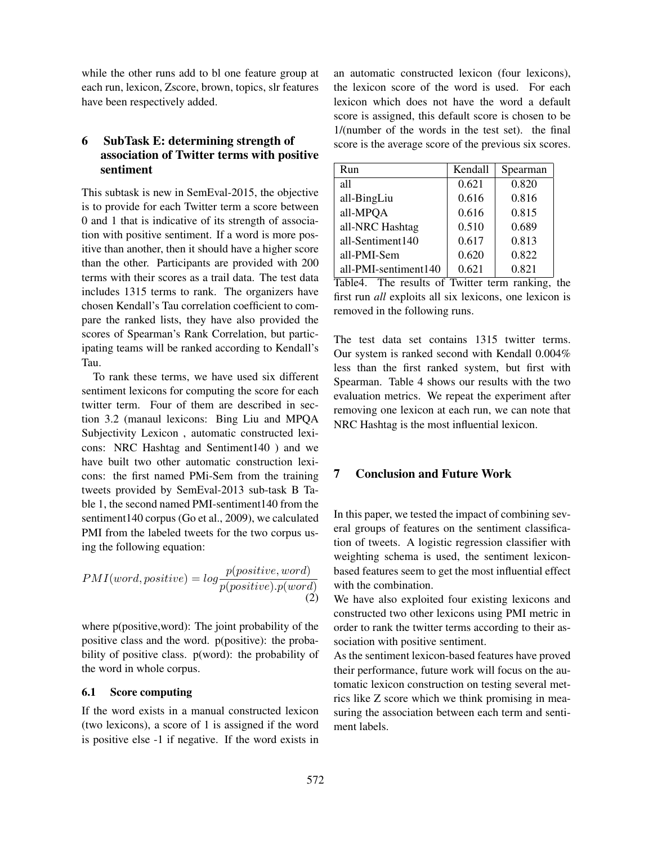while the other runs add to bl one feature group at each run, lexicon, Zscore, brown, topics, slr features have been respectively added.

# 6 SubTask E: determining strength of association of Twitter terms with positive sentiment

This subtask is new in SemEval-2015, the objective is to provide for each Twitter term a score between 0 and 1 that is indicative of its strength of association with positive sentiment. If a word is more positive than another, then it should have a higher score than the other. Participants are provided with 200 terms with their scores as a trail data. The test data includes 1315 terms to rank. The organizers have chosen Kendall's Tau correlation coefficient to compare the ranked lists, they have also provided the scores of Spearman's Rank Correlation, but participating teams will be ranked according to Kendall's Tau.

To rank these terms, we have used six different sentiment lexicons for computing the score for each twitter term. Four of them are described in section 3.2 (manaul lexicons: Bing Liu and MPQA Subjectivity Lexicon , automatic constructed lexicons: NRC Hashtag and Sentiment140 ) and we have built two other automatic construction lexicons: the first named PMi-Sem from the training tweets provided by SemEval-2013 sub-task B Table 1, the second named PMI-sentiment140 from the sentiment140 corpus (Go et al., 2009), we calculated PMI from the labeled tweets for the two corpus using the following equation:

$$
PMI(word, positive) = log \frac{p(positive, word)}{p(positive).p(word)}
$$
\n(2)

where p(positive,word): The joint probability of the positive class and the word. p(positive): the probability of positive class. p(word): the probability of the word in whole corpus.

#### 6.1 Score computing

If the word exists in a manual constructed lexicon (two lexicons), a score of 1 is assigned if the word is positive else -1 if negative. If the word exists in an automatic constructed lexicon (four lexicons), the lexicon score of the word is used. For each lexicon which does not have the word a default score is assigned, this default score is chosen to be 1/(number of the words in the test set). the final score is the average score of the previous six scores.

| Run                  | Kendall | Spearman |
|----------------------|---------|----------|
| all                  | 0.621   | 0.820    |
| all-BingLiu          | 0.616   | 0.816    |
| all-MPQA             | 0.616   | 0.815    |
| all-NRC Hashtag      | 0.510   | 0.689    |
| all-Sentiment140     | 0.617   | 0.813    |
| all-PMI-Sem          | 0.620   | 0.822    |
| all-PMI-sentiment140 | 0.621   | 0.821    |

Table4. The results of Twitter term ranking, the first run *all* exploits all six lexicons, one lexicon is removed in the following runs.

The test data set contains 1315 twitter terms. Our system is ranked second with Kendall 0.004% less than the first ranked system, but first with Spearman. Table 4 shows our results with the two evaluation metrics. We repeat the experiment after removing one lexicon at each run, we can note that NRC Hashtag is the most influential lexicon.

### 7 Conclusion and Future Work

In this paper, we tested the impact of combining several groups of features on the sentiment classification of tweets. A logistic regression classifier with weighting schema is used, the sentiment lexiconbased features seem to get the most influential effect with the combination.

We have also exploited four existing lexicons and constructed two other lexicons using PMI metric in order to rank the twitter terms according to their association with positive sentiment.

As the sentiment lexicon-based features have proved their performance, future work will focus on the automatic lexicon construction on testing several metrics like Z score which we think promising in measuring the association between each term and sentiment labels.